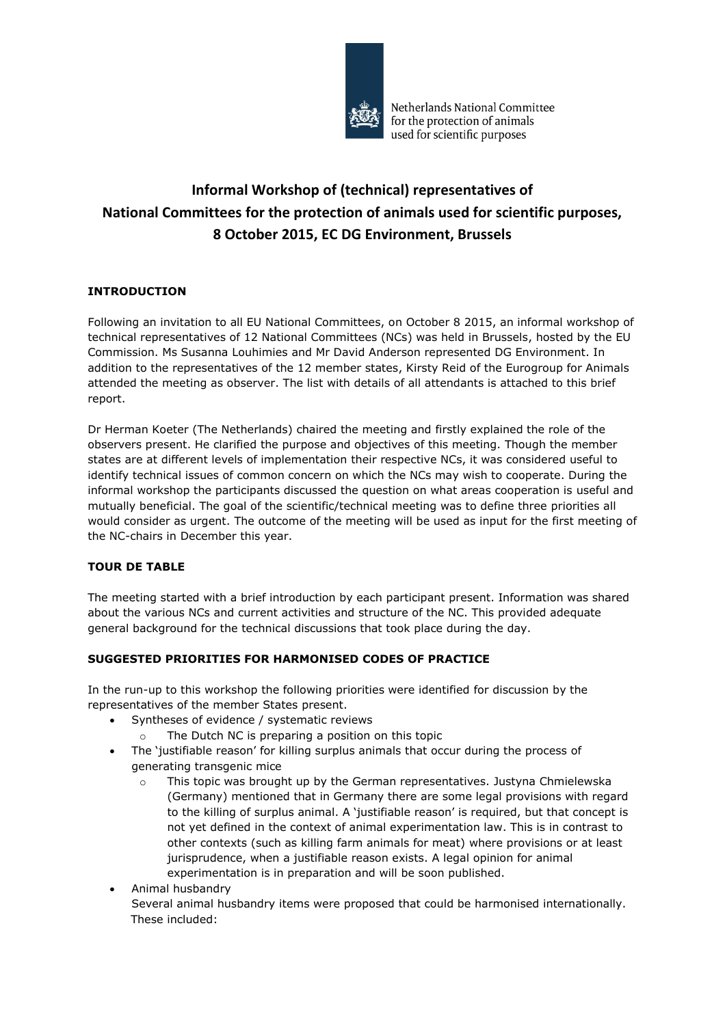

# **Informal Workshop of (technical) representatives of National Committees for the protection of animals used for scientific purposes, 8 October 2015, EC DG Environment, Brussels**

## **INTRODUCTION**

Following an invitation to all EU National Committees, on October 8 2015, an informal workshop of technical representatives of 12 National Committees (NCs) was held in Brussels, hosted by the EU Commission. Ms Susanna Louhimies and Mr David Anderson represented DG Environment. In addition to the representatives of the 12 member states, Kirsty Reid of the Eurogroup for Animals attended the meeting as observer. The list with details of all attendants is attached to this brief report.

Dr Herman Koeter (The Netherlands) chaired the meeting and firstly explained the role of the observers present. He clarified the purpose and objectives of this meeting. Though the member states are at different levels of implementation their respective NCs, it was considered useful to identify technical issues of common concern on which the NCs may wish to cooperate. During the informal workshop the participants discussed the question on what areas cooperation is useful and mutually beneficial. The goal of the scientific/technical meeting was to define three priorities all would consider as urgent. The outcome of the meeting will be used as input for the first meeting of the NC-chairs in December this year.

#### **TOUR DE TABLE**

The meeting started with a brief introduction by each participant present. Information was shared about the various NCs and current activities and structure of the NC. This provided adequate general background for the technical discussions that took place during the day.

#### **SUGGESTED PRIORITIES FOR HARMONISED CODES OF PRACTICE**

In the run-up to this workshop the following priorities were identified for discussion by the representatives of the member States present.

- Syntheses of evidence / systematic reviews
	- o The Dutch NC is preparing a position on this topic
- The 'justifiable reason' for killing surplus animals that occur during the process of generating transgenic mice
	- o This topic was brought up by the German representatives. Justyna Chmielewska (Germany) mentioned that in Germany there are some legal provisions with regard to the killing of surplus animal. A 'justifiable reason' is required, but that concept is not yet defined in the context of animal experimentation law. This is in contrast to other contexts (such as killing farm animals for meat) where provisions or at least jurisprudence, when a justifiable reason exists. A legal opinion for animal experimentation is in preparation and will be soon published.
- Animal husbandry Several animal husbandry items were proposed that could be harmonised internationally. These included: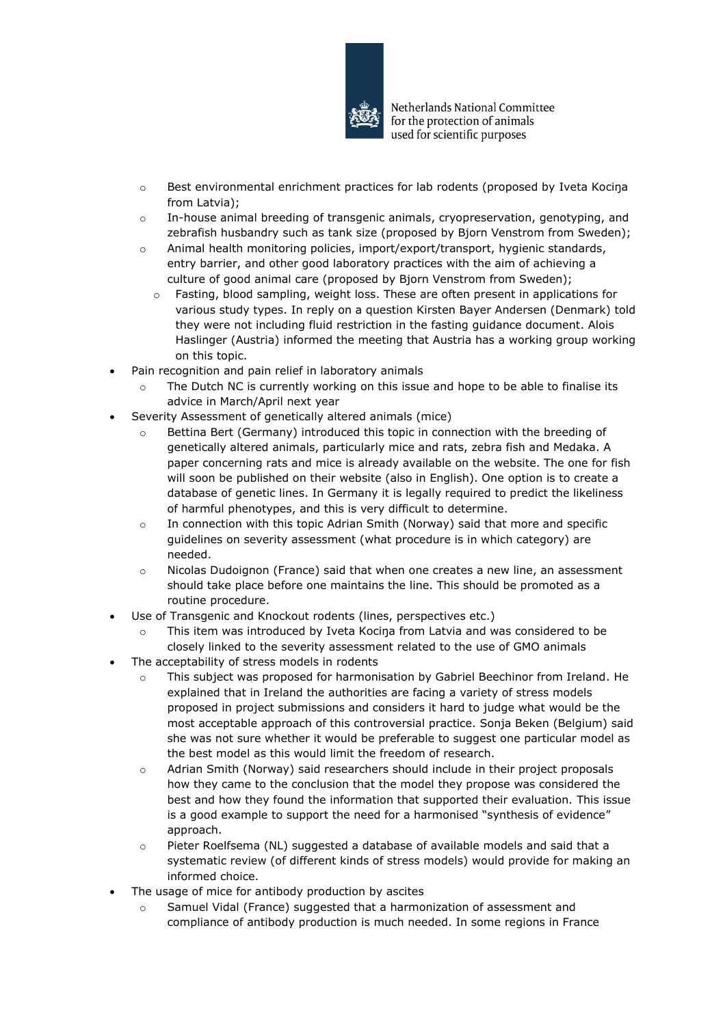

- o Best environmental enrichment practices for lab rodents (proposed by Iveta Kociŋa from Latvia);
- o In-house animal breeding of transgenic animals, cryopreservation, genotyping, and zebrafish husbandry such as tank size (proposed by Bjorn Venstrom from Sweden);
- o Animal health monitoring policies, import/export/transport, hygienic standards, entry barrier, and other good laboratory practices with the aim of achieving a culture of good animal care (proposed by Bjorn Venstrom from Sweden);
	- o Fasting, blood sampling, weight loss. These are often present in applications for various study types. In reply on a question Kirsten Bayer Andersen (Denmark) told they were not including fluid restriction in the fasting guidance document. Alois Haslinger (Austria) informed the meeting that Austria has a working group working on this topic.
- Pain recognition and pain relief in laboratory animals
	- $\circ$  The Dutch NC is currently working on this issue and hope to be able to finalise its advice in March/April next year
- Severity Assessment of genetically altered animals (mice)
	- o Bettina Bert (Germany) introduced this topic in connection with the breeding of genetically altered animals, particularly mice and rats, zebra fish and Medaka. A paper concerning rats and mice is already available on the website. The one for fish will soon be published on their website (also in English). One option is to create a database of genetic lines. In Germany it is legally required to predict the likeliness of harmful phenotypes, and this is very difficult to determine.
	- o In connection with this topic Adrian Smith (Norway) said that more and specific guidelines on severity assessment (what procedure is in which category) are needed.
	- $\circ$  Nicolas Dudoignon (France) said that when one creates a new line, an assessment should take place before one maintains the line. This should be promoted as a routine procedure.
- Use of Transgenic and Knockout rodents (lines, perspectives etc.)
	- o This item was introduced by Iveta Kociŋa from Latvia and was considered to be closely linked to the severity assessment related to the use of GMO animals
- The acceptability of stress models in rodents
	- o This subject was proposed for harmonisation by Gabriel Beechinor from Ireland. He explained that in Ireland the authorities are facing a variety of stress models proposed in project submissions and considers it hard to judge what would be the most acceptable approach of this controversial practice. Sonja Beken (Belgium) said she was not sure whether it would be preferable to suggest one particular model as the best model as this would limit the freedom of research.
	- o Adrian Smith (Norway) said researchers should include in their project proposals how they came to the conclusion that the model they propose was considered the best and how they found the information that supported their evaluation. This issue is a good example to support the need for a harmonised "synthesis of evidence" approach.
	- o Pieter Roelfsema (NL) suggested a database of available models and said that a systematic review (of different kinds of stress models) would provide for making an informed choice.
- The usage of mice for antibody production by ascites
	- o Samuel Vidal (France) suggested that a harmonization of assessment and compliance of antibody production is much needed. In some regions in France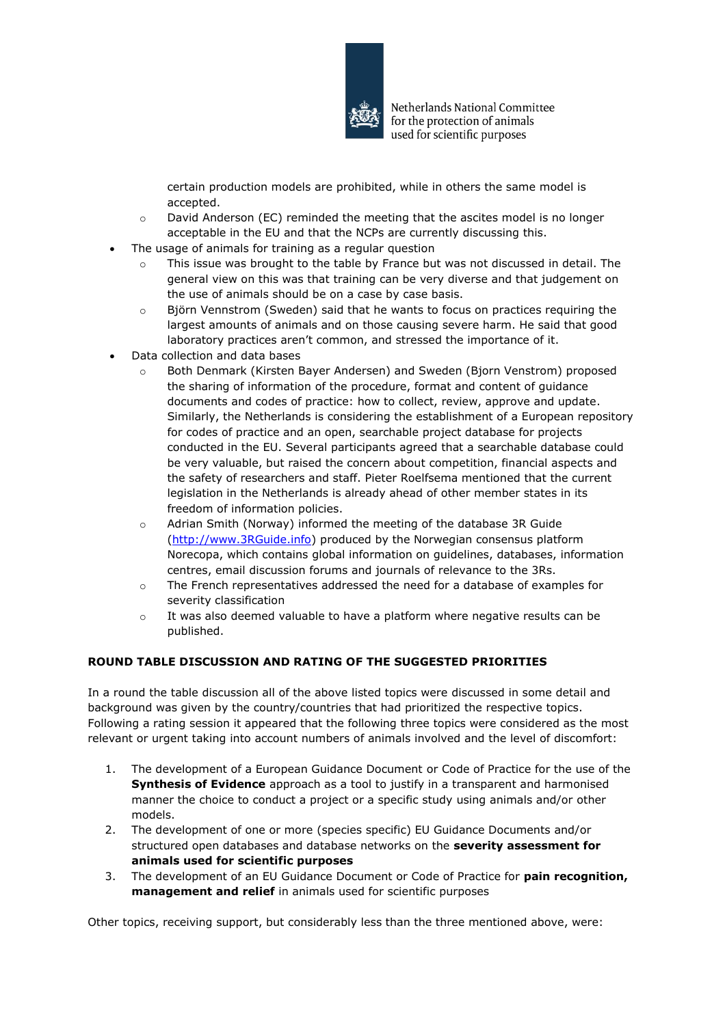

certain production models are prohibited, while in others the same model is accepted.

- o David Anderson (EC) reminded the meeting that the ascites model is no longer acceptable in the EU and that the NCPs are currently discussing this.
- The usage of animals for training as a regular question
	- $\circ$  This issue was brought to the table by France but was not discussed in detail. The general view on this was that training can be very diverse and that judgement on the use of animals should be on a case by case basis.
	- $\circ$  Björn Vennstrom (Sweden) said that he wants to focus on practices requiring the largest amounts of animals and on those causing severe harm. He said that good laboratory practices aren't common, and stressed the importance of it.
- Data collection and data bases
	- o Both Denmark (Kirsten Bayer Andersen) and Sweden (Bjorn Venstrom) proposed the sharing of information of the procedure, format and content of guidance documents and codes of practice: how to collect, review, approve and update. Similarly, the Netherlands is considering the establishment of a European repository for codes of practice and an open, searchable project database for projects conducted in the EU. Several participants agreed that a searchable database could be very valuable, but raised the concern about competition, financial aspects and the safety of researchers and staff. Pieter Roelfsema mentioned that the current legislation in the Netherlands is already ahead of other member states in its freedom of information policies.
	- o Adrian Smith (Norway) informed the meeting of the database 3R Guide [\(http://www.3RGuide.info\)](http://www.3rguide.info/) produced by the Norwegian consensus platform Norecopa, which contains global information on guidelines, databases, information centres, email discussion forums and journals of relevance to the 3Rs.
	- o The French representatives addressed the need for a database of examples for severity classification
	- $\circ$  It was also deemed valuable to have a platform where negative results can be published.

#### **ROUND TABLE DISCUSSION AND RATING OF THE SUGGESTED PRIORITIES**

In a round the table discussion all of the above listed topics were discussed in some detail and background was given by the country/countries that had prioritized the respective topics. Following a rating session it appeared that the following three topics were considered as the most relevant or urgent taking into account numbers of animals involved and the level of discomfort:

- 1. The development of a European Guidance Document or Code of Practice for the use of the **Synthesis of Evidence** approach as a tool to justify in a transparent and harmonised manner the choice to conduct a project or a specific study using animals and/or other models.
- 2. The development of one or more (species specific) EU Guidance Documents and/or structured open databases and database networks on the **severity assessment for animals used for scientific purposes**
- 3. The development of an EU Guidance Document or Code of Practice for **pain recognition, management and relief** in animals used for scientific purposes

Other topics, receiving support, but considerably less than the three mentioned above, were: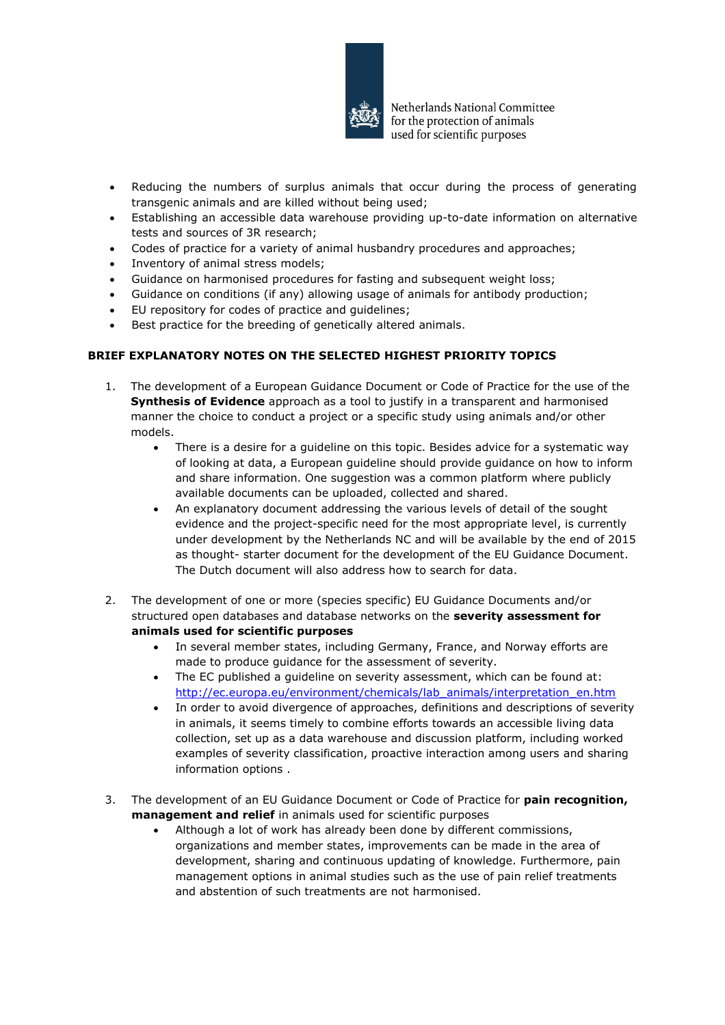

- Reducing the numbers of surplus animals that occur during the process of generating transgenic animals and are killed without being used;
- Establishing an accessible data warehouse providing up-to-date information on alternative tests and sources of 3R research;
- Codes of practice for a variety of animal husbandry procedures and approaches;
- Inventory of animal stress models;
- Guidance on harmonised procedures for fasting and subsequent weight loss;
- Guidance on conditions (if any) allowing usage of animals for antibody production;
- EU repository for codes of practice and guidelines;
- Best practice for the breeding of genetically altered animals.

### **BRIEF EXPLANATORY NOTES ON THE SELECTED HIGHEST PRIORITY TOPICS**

- 1. The development of a European Guidance Document or Code of Practice for the use of the **Synthesis of Evidence** approach as a tool to justify in a transparent and harmonised manner the choice to conduct a project or a specific study using animals and/or other models.
	- There is a desire for a guideline on this topic. Besides advice for a systematic way of looking at data, a European guideline should provide guidance on how to inform and share information. One suggestion was a common platform where publicly available documents can be uploaded, collected and shared.
	- An explanatory document addressing the various levels of detail of the sought evidence and the project-specific need for the most appropriate level, is currently under development by the Netherlands NC and will be available by the end of 2015 as thought- starter document for the development of the EU Guidance Document. The Dutch document will also address how to search for data.
- 2. The development of one or more (species specific) EU Guidance Documents and/or structured open databases and database networks on the **severity assessment for animals used for scientific purposes**
	- In several member states, including Germany, France, and Norway efforts are made to produce guidance for the assessment of severity.
	- The EC published a guideline on severity assessment, which can be found at: [http://ec.europa.eu/environment/chemicals/lab\\_animals/interpretation\\_en.htm](http://ec.europa.eu/environment/chemicals/lab_animals/interpretation_en.htm)
	- In order to avoid divergence of approaches, definitions and descriptions of severity in animals, it seems timely to combine efforts towards an accessible living data collection, set up as a data warehouse and discussion platform, including worked examples of severity classification, proactive interaction among users and sharing information options .
- 3. The development of an EU Guidance Document or Code of Practice for **pain recognition, management and relief** in animals used for scientific purposes
	- Although a lot of work has already been done by different commissions, organizations and member states, improvements can be made in the area of development, sharing and continuous updating of knowledge. Furthermore, pain management options in animal studies such as the use of pain relief treatments and abstention of such treatments are not harmonised.